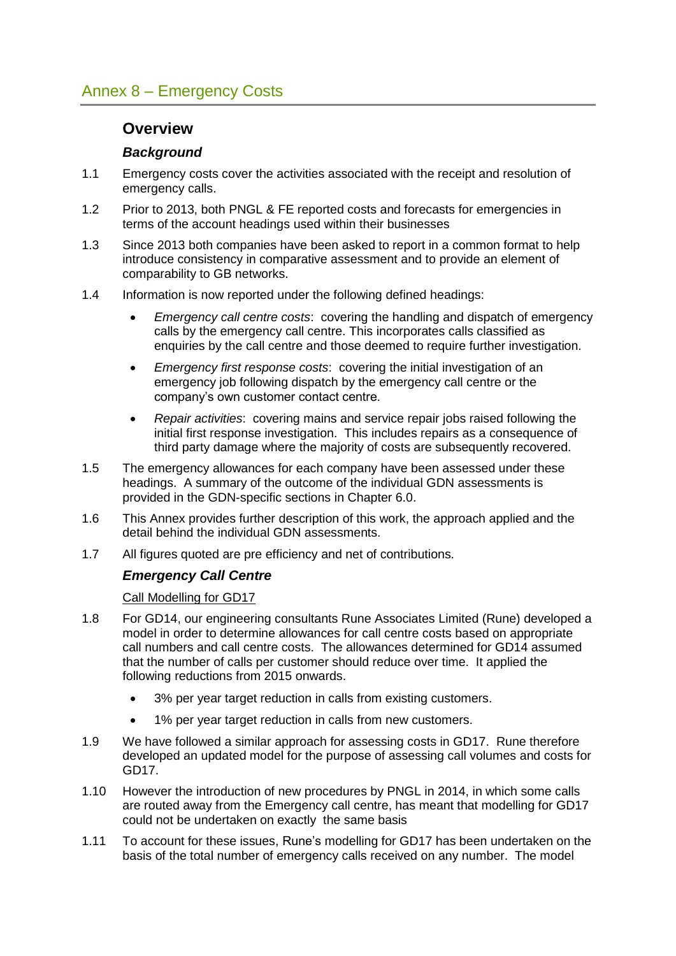# **Overview**

# *Background*

- 1.1 Emergency costs cover the activities associated with the receipt and resolution of emergency calls.
- 1.2 Prior to 2013, both PNGL & FE reported costs and forecasts for emergencies in terms of the account headings used within their businesses
- 1.3 Since 2013 both companies have been asked to report in a common format to help introduce consistency in comparative assessment and to provide an element of comparability to GB networks.
- 1.4 Information is now reported under the following defined headings:
	- *Emergency call centre costs*: covering the handling and dispatch of emergency calls by the emergency call centre. This incorporates calls classified as enquiries by the call centre and those deemed to require further investigation.
	- *Emergency first response costs*: covering the initial investigation of an emergency job following dispatch by the emergency call centre or the company's own customer contact centre.
	- *Repair activities*: covering mains and service repair jobs raised following the initial first response investigation. This includes repairs as a consequence of third party damage where the majority of costs are subsequently recovered.
- 1.5 The emergency allowances for each company have been assessed under these headings. A summary of the outcome of the individual GDN assessments is provided in the GDN-specific sections in Chapter 6.0.
- 1.6 This Annex provides further description of this work, the approach applied and the detail behind the individual GDN assessments.
- 1.7 All figures quoted are pre efficiency and net of contributions.

# *Emergency Call Centre*

Call Modelling for GD17

- 1.8 For GD14, our engineering consultants Rune Associates Limited (Rune) developed a model in order to determine allowances for call centre costs based on appropriate call numbers and call centre costs. The allowances determined for GD14 assumed that the number of calls per customer should reduce over time. It applied the following reductions from 2015 onwards.
	- 3% per year target reduction in calls from existing customers.
	- 1% per year target reduction in calls from new customers.
- 1.9 We have followed a similar approach for assessing costs in GD17. Rune therefore developed an updated model for the purpose of assessing call volumes and costs for GD17.
- 1.10 However the introduction of new procedures by PNGL in 2014, in which some calls are routed away from the Emergency call centre, has meant that modelling for GD17 could not be undertaken on exactly the same basis
- 1.11 To account for these issues, Rune's modelling for GD17 has been undertaken on the basis of the total number of emergency calls received on any number. The model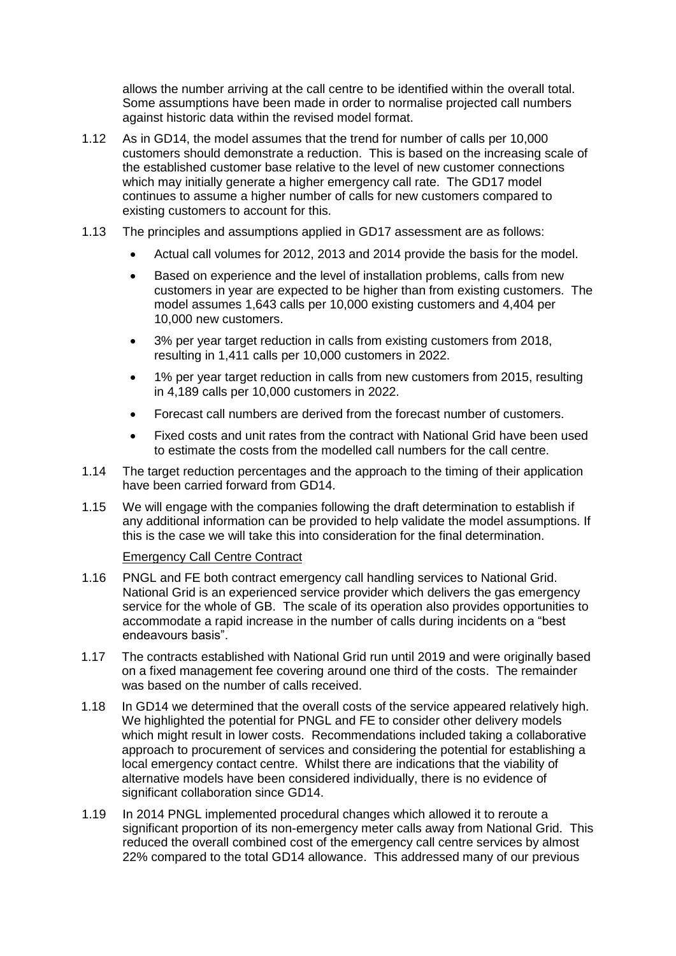allows the number arriving at the call centre to be identified within the overall total. Some assumptions have been made in order to normalise projected call numbers against historic data within the revised model format.

- 1.12 As in GD14, the model assumes that the trend for number of calls per 10,000 customers should demonstrate a reduction. This is based on the increasing scale of the established customer base relative to the level of new customer connections which may initially generate a higher emergency call rate. The GD17 model continues to assume a higher number of calls for new customers compared to existing customers to account for this.
- 1.13 The principles and assumptions applied in GD17 assessment are as follows:
	- Actual call volumes for 2012, 2013 and 2014 provide the basis for the model.
	- Based on experience and the level of installation problems, calls from new customers in year are expected to be higher than from existing customers. The model assumes 1,643 calls per 10,000 existing customers and 4,404 per 10,000 new customers.
	- 3% per year target reduction in calls from existing customers from 2018, resulting in 1,411 calls per 10,000 customers in 2022.
	- 1% per year target reduction in calls from new customers from 2015, resulting in 4,189 calls per 10,000 customers in 2022.
	- Forecast call numbers are derived from the forecast number of customers.
	- Fixed costs and unit rates from the contract with National Grid have been used to estimate the costs from the modelled call numbers for the call centre.
- 1.14 The target reduction percentages and the approach to the timing of their application have been carried forward from GD14.
- 1.15 We will engage with the companies following the draft determination to establish if any additional information can be provided to help validate the model assumptions. If this is the case we will take this into consideration for the final determination.

#### Emergency Call Centre Contract

- 1.16 PNGL and FE both contract emergency call handling services to National Grid. National Grid is an experienced service provider which delivers the gas emergency service for the whole of GB. The scale of its operation also provides opportunities to accommodate a rapid increase in the number of calls during incidents on a "best endeavours basis".
- 1.17 The contracts established with National Grid run until 2019 and were originally based on a fixed management fee covering around one third of the costs. The remainder was based on the number of calls received.
- 1.18 In GD14 we determined that the overall costs of the service appeared relatively high. We highlighted the potential for PNGL and FE to consider other delivery models which might result in lower costs. Recommendations included taking a collaborative approach to procurement of services and considering the potential for establishing a local emergency contact centre. Whilst there are indications that the viability of alternative models have been considered individually, there is no evidence of significant collaboration since GD14.
- 1.19 In 2014 PNGL implemented procedural changes which allowed it to reroute a significant proportion of its non-emergency meter calls away from National Grid. This reduced the overall combined cost of the emergency call centre services by almost 22% compared to the total GD14 allowance. This addressed many of our previous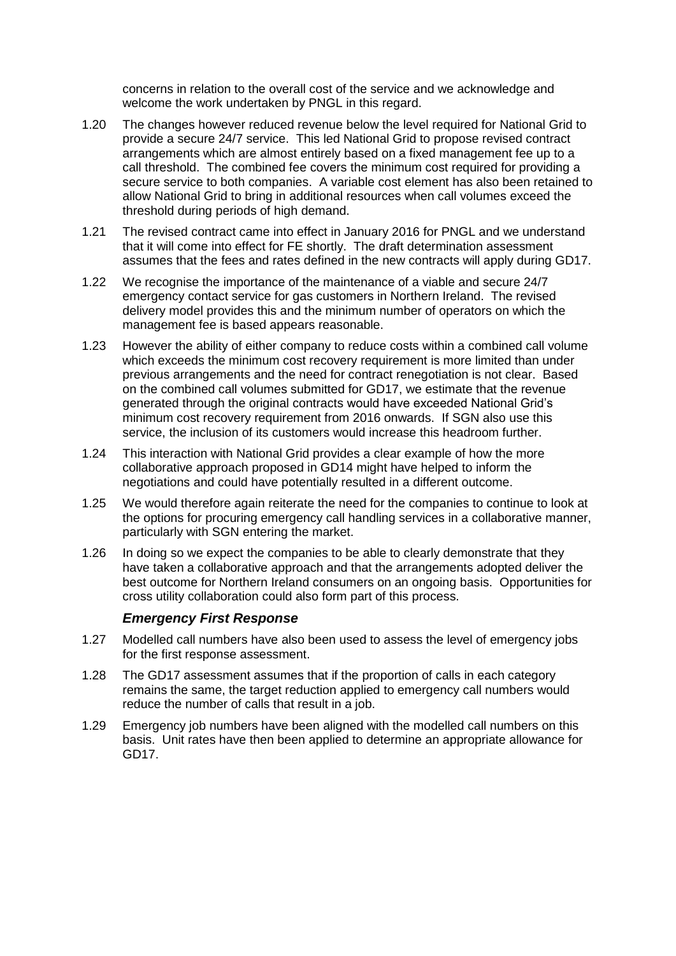concerns in relation to the overall cost of the service and we acknowledge and welcome the work undertaken by PNGL in this regard.

- 1.20 The changes however reduced revenue below the level required for National Grid to provide a secure 24/7 service. This led National Grid to propose revised contract arrangements which are almost entirely based on a fixed management fee up to a call threshold. The combined fee covers the minimum cost required for providing a secure service to both companies. A variable cost element has also been retained to allow National Grid to bring in additional resources when call volumes exceed the threshold during periods of high demand.
- 1.21 The revised contract came into effect in January 2016 for PNGL and we understand that it will come into effect for FE shortly. The draft determination assessment assumes that the fees and rates defined in the new contracts will apply during GD17.
- 1.22 We recognise the importance of the maintenance of a viable and secure 24/7 emergency contact service for gas customers in Northern Ireland. The revised delivery model provides this and the minimum number of operators on which the management fee is based appears reasonable.
- 1.23 However the ability of either company to reduce costs within a combined call volume which exceeds the minimum cost recovery requirement is more limited than under previous arrangements and the need for contract renegotiation is not clear. Based on the combined call volumes submitted for GD17, we estimate that the revenue generated through the original contracts would have exceeded National Grid's minimum cost recovery requirement from 2016 onwards. If SGN also use this service, the inclusion of its customers would increase this headroom further.
- 1.24 This interaction with National Grid provides a clear example of how the more collaborative approach proposed in GD14 might have helped to inform the negotiations and could have potentially resulted in a different outcome.
- 1.25 We would therefore again reiterate the need for the companies to continue to look at the options for procuring emergency call handling services in a collaborative manner, particularly with SGN entering the market.
- 1.26 In doing so we expect the companies to be able to clearly demonstrate that they have taken a collaborative approach and that the arrangements adopted deliver the best outcome for Northern Ireland consumers on an ongoing basis. Opportunities for cross utility collaboration could also form part of this process.

#### *Emergency First Response*

- 1.27 Modelled call numbers have also been used to assess the level of emergency jobs for the first response assessment.
- 1.28 The GD17 assessment assumes that if the proportion of calls in each category remains the same, the target reduction applied to emergency call numbers would reduce the number of calls that result in a job.
- 1.29 Emergency job numbers have been aligned with the modelled call numbers on this basis. Unit rates have then been applied to determine an appropriate allowance for GD17.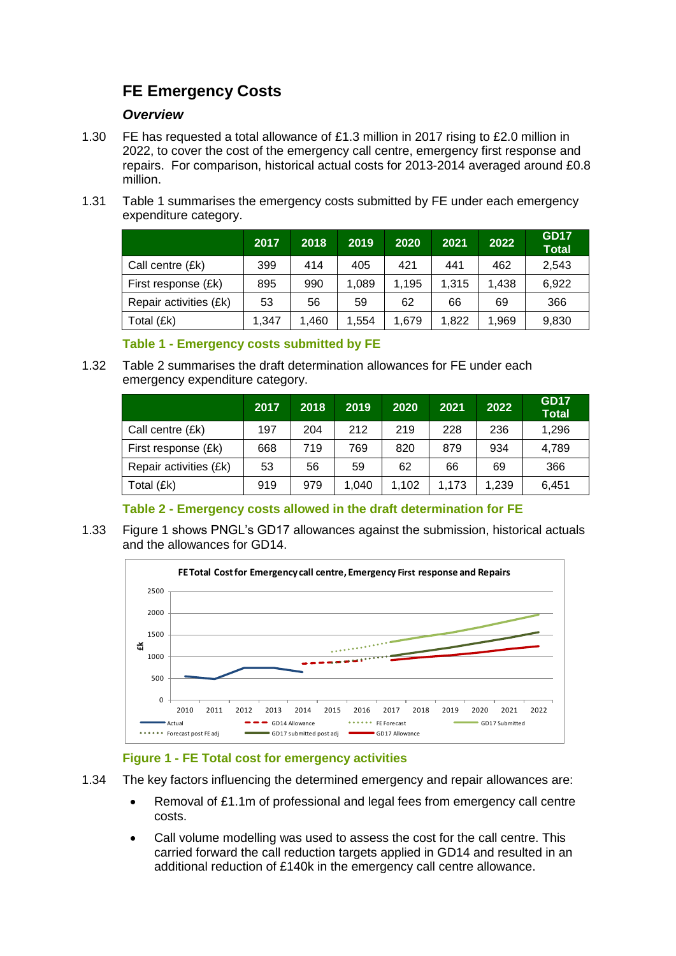# **FE Emergency Costs**

### *Overview*

- 1.30 FE has requested a total allowance of £1.3 million in 2017 rising to £2.0 million in 2022, to cover the cost of the emergency call centre, emergency first response and repairs. For comparison, historical actual costs for 2013-2014 averaged around £0.8 million.
- 1.31 [Table 1](#page-3-0) summarises the emergency costs submitted by FE under each emergency expenditure category.

|                        | 2017  | 2018  | 2019  | 2020  | 2021  | 2022  | <b>GD17</b><br><b>Total</b> |
|------------------------|-------|-------|-------|-------|-------|-------|-----------------------------|
| Call centre (£k)       | 399   | 414   | 405   | 421   | 441   | 462   | 2,543                       |
| First response (£k)    | 895   | 990   | 1.089 | 1,195 | 1.315 | 1.438 | 6,922                       |
| Repair activities (£k) | 53    | 56    | 59    | 62    | 66    | 69    | 366                         |
| Total (£k)             | 1,347 | 1.460 | 1,554 | 1.679 | 1,822 | 1,969 | 9,830                       |

#### **Table 1 - Emergency costs submitted by FE**

<span id="page-3-0"></span>1.32 [Table 2](#page-3-1) summarises the draft determination allowances for FE under each emergency expenditure category.

|                        | 2017 | 2018 | 2019  | 2020  | 2021  | 2022  | <b>GD17</b><br><b>Total</b> |
|------------------------|------|------|-------|-------|-------|-------|-----------------------------|
| Call centre (£k)       | 197  | 204  | 212   | 219   | 228   | 236   | 1,296                       |
| First response (£k)    | 668  | 719  | 769   | 820   | 879   | 934   | 4,789                       |
| Repair activities (£k) | 53   | 56   | 59    | 62    | 66    | 69    | 366                         |
| Total (£k)             | 919  | 979  | 1,040 | 1,102 | 1.173 | 1,239 | 6,451                       |

# **Table 2 - Emergency costs allowed in the draft determination for FE**

<span id="page-3-1"></span>1.33 [Figure 1](#page-3-2) shows PNGL's GD17 allowances against the submission, historical actuals and the allowances for GD14.



# **Figure 1 - FE Total cost for emergency activities**

- <span id="page-3-2"></span>1.34 The key factors influencing the determined emergency and repair allowances are:
	- Removal of £1.1m of professional and legal fees from emergency call centre costs.
	- Call volume modelling was used to assess the cost for the call centre. This carried forward the call reduction targets applied in GD14 and resulted in an additional reduction of £140k in the emergency call centre allowance.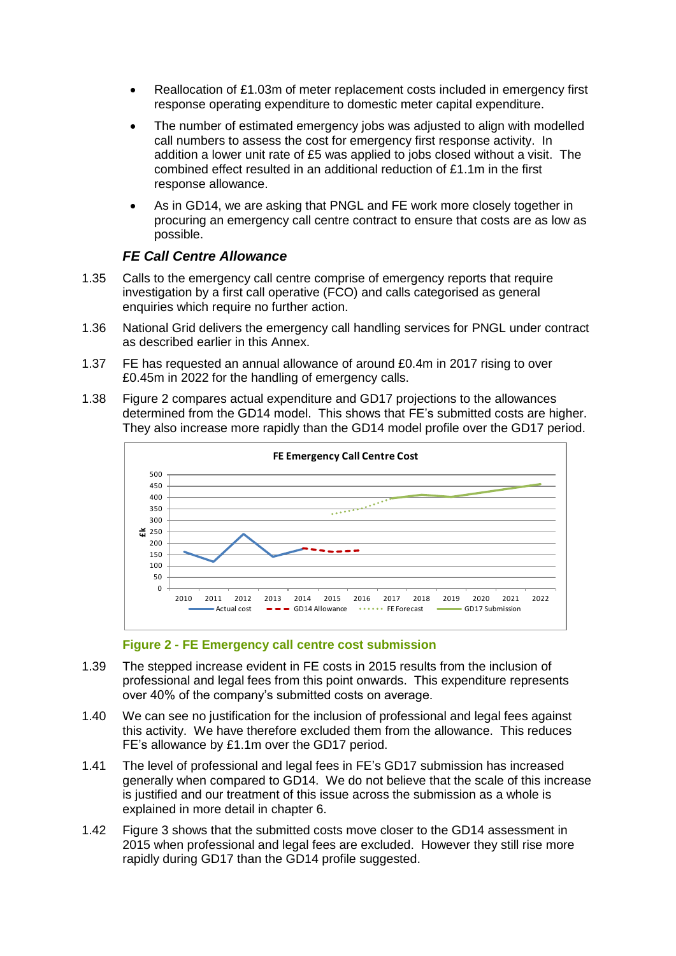- Reallocation of £1.03m of meter replacement costs included in emergency first response operating expenditure to domestic meter capital expenditure.
- The number of estimated emergency jobs was adjusted to align with modelled call numbers to assess the cost for emergency first response activity. In addition a lower unit rate of £5 was applied to jobs closed without a visit. The combined effect resulted in an additional reduction of £1.1m in the first response allowance.
- As in GD14, we are asking that PNGL and FE work more closely together in procuring an emergency call centre contract to ensure that costs are as low as possible.

# *FE Call Centre Allowance*

- 1.35 Calls to the emergency call centre comprise of emergency reports that require investigation by a first call operative (FCO) and calls categorised as general enquiries which require no further action.
- 1.36 National Grid delivers the emergency call handling services for PNGL under contract as described earlier in this Annex.
- 1.37 FE has requested an annual allowance of around £0.4m in 2017 rising to over £0.45m in 2022 for the handling of emergency calls.
- 1.38 [Figure 2](#page-4-0) compares actual expenditure and GD17 projections to the allowances determined from the GD14 model. This shows that FE's submitted costs are higher. They also increase more rapidly than the GD14 model profile over the GD17 period.



#### **Figure 2 - FE Emergency call centre cost submission**

- <span id="page-4-0"></span>1.39 The stepped increase evident in FE costs in 2015 results from the inclusion of professional and legal fees from this point onwards. This expenditure represents over 40% of the company's submitted costs on average.
- 1.40 We can see no justification for the inclusion of professional and legal fees against this activity. We have therefore excluded them from the allowance. This reduces FE's allowance by £1.1m over the GD17 period.
- 1.41 The level of professional and legal fees in FE's GD17 submission has increased generally when compared to GD14. We do not believe that the scale of this increase is justified and our treatment of this issue across the submission as a whole is explained in more detail in chapter 6.
- 1.42 [Figure 3](#page-5-0) shows that the submitted costs move closer to the GD14 assessment in 2015 when professional and legal fees are excluded. However they still rise more rapidly during GD17 than the GD14 profile suggested.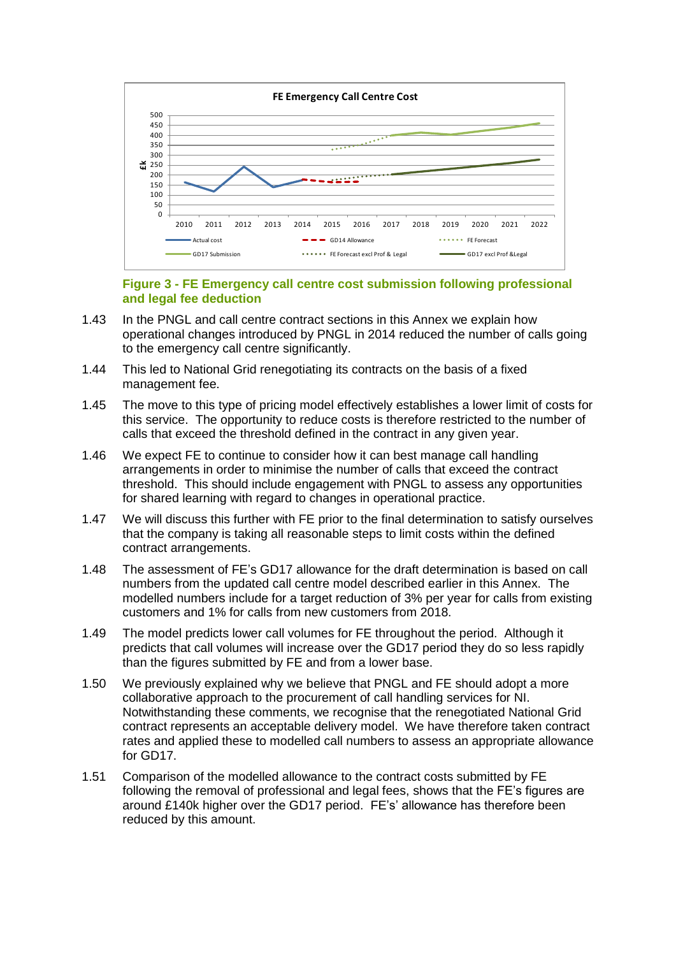

#### **Figure 3 - FE Emergency call centre cost submission following professional and legal fee deduction**

- <span id="page-5-0"></span>1.43 In the PNGL and call centre contract sections in this Annex we explain how operational changes introduced by PNGL in 2014 reduced the number of calls going to the emergency call centre significantly.
- 1.44 This led to National Grid renegotiating its contracts on the basis of a fixed management fee.
- 1.45 The move to this type of pricing model effectively establishes a lower limit of costs for this service. The opportunity to reduce costs is therefore restricted to the number of calls that exceed the threshold defined in the contract in any given year.
- 1.46 We expect FE to continue to consider how it can best manage call handling arrangements in order to minimise the number of calls that exceed the contract threshold. This should include engagement with PNGL to assess any opportunities for shared learning with regard to changes in operational practice.
- 1.47 We will discuss this further with FE prior to the final determination to satisfy ourselves that the company is taking all reasonable steps to limit costs within the defined contract arrangements.
- 1.48 The assessment of FE's GD17 allowance for the draft determination is based on call numbers from the updated call centre model described earlier in this Annex. The modelled numbers include for a target reduction of 3% per year for calls from existing customers and 1% for calls from new customers from 2018.
- 1.49 The model predicts lower call volumes for FE throughout the period. Although it predicts that call volumes will increase over the GD17 period they do so less rapidly than the figures submitted by FE and from a lower base.
- 1.50 We previously explained why we believe that PNGL and FE should adopt a more collaborative approach to the procurement of call handling services for NI. Notwithstanding these comments, we recognise that the renegotiated National Grid contract represents an acceptable delivery model. We have therefore taken contract rates and applied these to modelled call numbers to assess an appropriate allowance for GD17.
- 1.51 Comparison of the modelled allowance to the contract costs submitted by FE following the removal of professional and legal fees, shows that the FE's figures are around £140k higher over the GD17 period. FE's' allowance has therefore been reduced by this amount.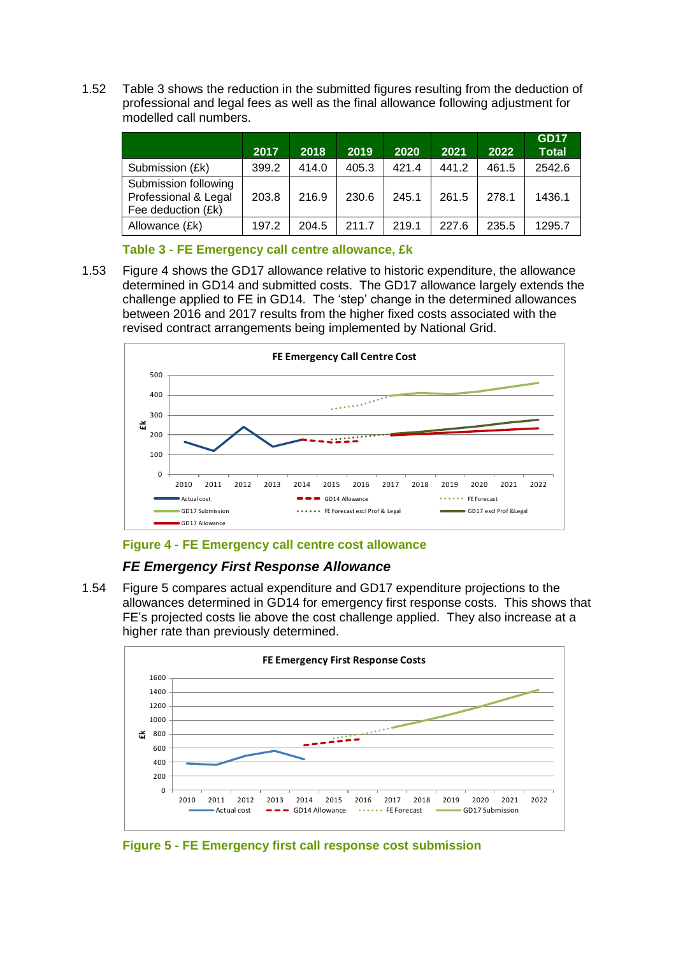1.52 [Table 3](#page-6-0) shows the reduction in the submitted figures resulting from the deduction of professional and legal fees as well as the final allowance following adjustment for modelled call numbers.

|                                                                    | 2017  | 2018  | 2019  | 2020  | 2021  | 2022  | <b>GD17</b><br><b>Total</b> |
|--------------------------------------------------------------------|-------|-------|-------|-------|-------|-------|-----------------------------|
| Submission (£k)                                                    | 399.2 | 414.0 | 405.3 | 421.4 | 441.2 | 461.5 | 2542.6                      |
| Submission following<br>Professional & Legal<br>Fee deduction (£k) | 203.8 | 216.9 | 230.6 | 245.1 | 261.5 | 278.1 | 1436.1                      |
| Allowance (£k)                                                     | 197.2 | 204.5 | 211.7 | 219.1 | 227.6 | 235.5 | 1295.7                      |

#### **Table 3 - FE Emergency call centre allowance, £k**

<span id="page-6-0"></span>1.53 [Figure 4](#page-6-1) shows the GD17 allowance relative to historic expenditure, the allowance determined in GD14 and submitted costs. The GD17 allowance largely extends the challenge applied to FE in GD14. The 'step' change in the determined allowances between 2016 and 2017 results from the higher fixed costs associated with the revised contract arrangements being implemented by National Grid.



#### <span id="page-6-1"></span>**Figure 4 - FE Emergency call centre cost allowance**

# *FE Emergency First Response Allowance*

1.54 [Figure 5](#page-6-2) compares actual expenditure and GD17 expenditure projections to the allowances determined in GD14 for emergency first response costs. This shows that FE's projected costs lie above the cost challenge applied. They also increase at a higher rate than previously determined.



<span id="page-6-2"></span>**Figure 5 - FE Emergency first call response cost submission**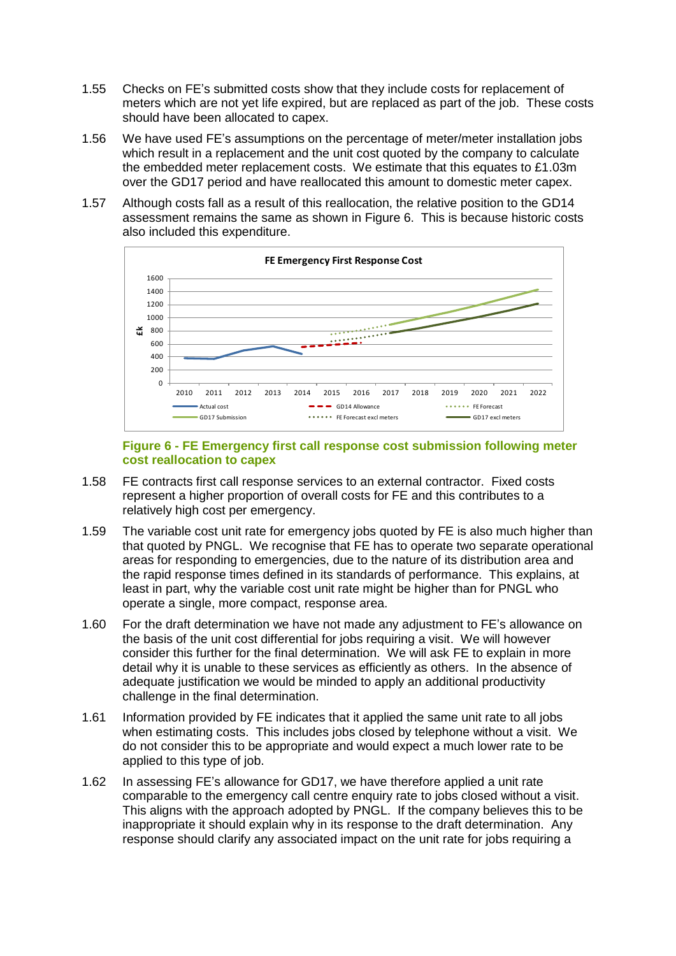- 1.55 Checks on FE's submitted costs show that they include costs for replacement of meters which are not yet life expired, but are replaced as part of the job. These costs should have been allocated to capex.
- 1.56 We have used FE's assumptions on the percentage of meter/meter installation jobs which result in a replacement and the unit cost quoted by the company to calculate the embedded meter replacement costs. We estimate that this equates to £1.03m over the GD17 period and have reallocated this amount to domestic meter capex.
- 1.57 Although costs fall as a result of this reallocation, the relative position to the GD14 assessment remains the same as shown in [Figure 6.](#page-7-0) This is because historic costs also included this expenditure.



#### **Figure 6 - FE Emergency first call response cost submission following meter cost reallocation to capex**

- <span id="page-7-0"></span>1.58 FE contracts first call response services to an external contractor. Fixed costs represent a higher proportion of overall costs for FE and this contributes to a relatively high cost per emergency.
- 1.59 The variable cost unit rate for emergency jobs quoted by FE is also much higher than that quoted by PNGL. We recognise that FE has to operate two separate operational areas for responding to emergencies, due to the nature of its distribution area and the rapid response times defined in its standards of performance. This explains, at least in part, why the variable cost unit rate might be higher than for PNGL who operate a single, more compact, response area.
- 1.60 For the draft determination we have not made any adjustment to FE's allowance on the basis of the unit cost differential for jobs requiring a visit. We will however consider this further for the final determination. We will ask FE to explain in more detail why it is unable to these services as efficiently as others. In the absence of adequate justification we would be minded to apply an additional productivity challenge in the final determination.
- 1.61 Information provided by FE indicates that it applied the same unit rate to all jobs when estimating costs. This includes jobs closed by telephone without a visit. We do not consider this to be appropriate and would expect a much lower rate to be applied to this type of job.
- 1.62 In assessing FE's allowance for GD17, we have therefore applied a unit rate comparable to the emergency call centre enquiry rate to jobs closed without a visit. This aligns with the approach adopted by PNGL. If the company believes this to be inappropriate it should explain why in its response to the draft determination. Any response should clarify any associated impact on the unit rate for jobs requiring a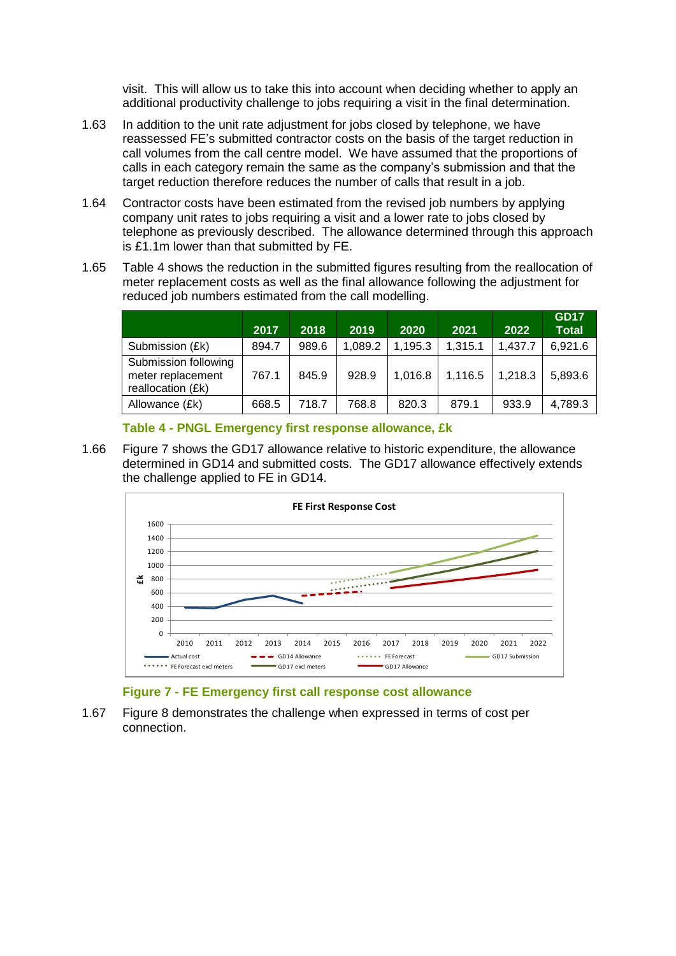visit. This will allow us to take this into account when deciding whether to apply an additional productivity challenge to jobs requiring a visit in the final determination.

- 1.63 In addition to the unit rate adjustment for jobs closed by telephone, we have reassessed FE's submitted contractor costs on the basis of the target reduction in call volumes from the call centre model. We have assumed that the proportions of calls in each category remain the same as the company's submission and that the target reduction therefore reduces the number of calls that result in a job.
- 1.64 Contractor costs have been estimated from the revised job numbers by applying company unit rates to jobs requiring a visit and a lower rate to jobs closed by telephone as previously described. The allowance determined through this approach is £1.1m lower than that submitted by FE.
- 1.65 [Table 4](#page-8-0) shows the reduction in the submitted figures resulting from the reallocation of meter replacement costs as well as the final allowance following the adjustment for reduced job numbers estimated from the call modelling.

|                                                                | 2017  | 2018  | 2019    | 2020    | 2021    | 2022    | <b>GD17</b><br><b>Total</b> |
|----------------------------------------------------------------|-------|-------|---------|---------|---------|---------|-----------------------------|
| Submission (£k)                                                | 894.7 | 989.6 | 1.089.2 | 1,195.3 | 1.315.1 | 1,437.7 | 6,921.6                     |
| Submission following<br>meter replacement<br>reallocation (£k) | 767.1 | 845.9 | 928.9   | 1,016.8 | 1,116.5 | 1,218.3 | 5,893.6                     |
| Allowance (£k)                                                 | 668.5 | 718.7 | 768.8   | 820.3   | 879.1   | 933.9   | 4,789.3                     |

**Table 4 - PNGL Emergency first response allowance, £k**

<span id="page-8-0"></span>1.66 [Figure 7](#page-8-1) shows the GD17 allowance relative to historic expenditure, the allowance determined in GD14 and submitted costs. The GD17 allowance effectively extends the challenge applied to FE in GD14.



#### **Figure 7 - FE Emergency first call response cost allowance**

<span id="page-8-1"></span>1.67 [Figure 8](#page-9-0) demonstrates the challenge when expressed in terms of cost per connection.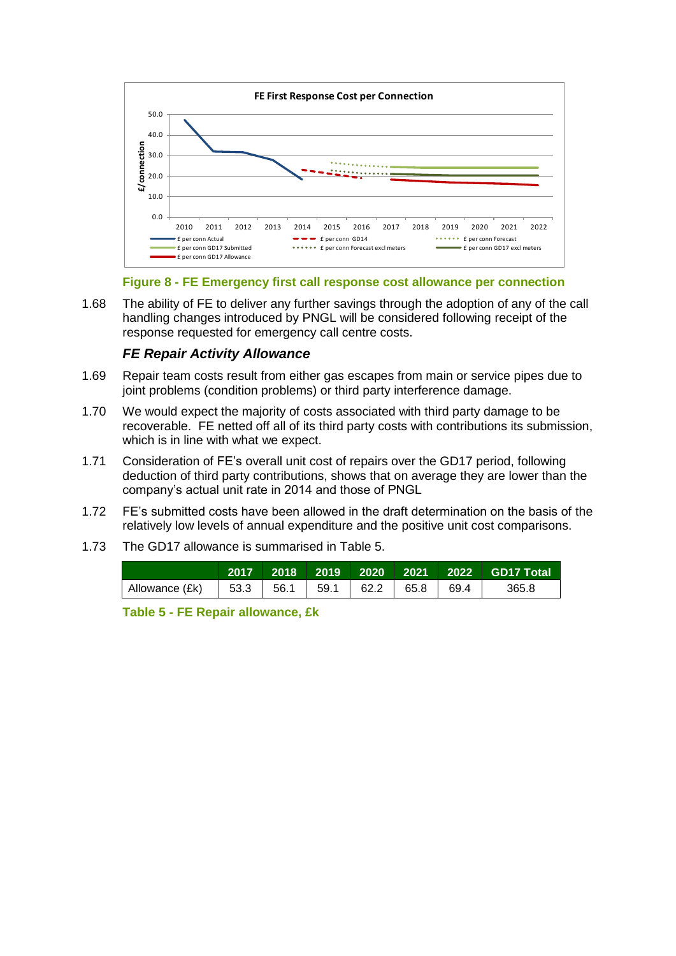

**Figure 8 - FE Emergency first call response cost allowance per connection**

<span id="page-9-0"></span>1.68 The ability of FE to deliver any further savings through the adoption of any of the call handling changes introduced by PNGL will be considered following receipt of the response requested for emergency call centre costs.

### *FE Repair Activity Allowance*

- 1.69 Repair team costs result from either gas escapes from main or service pipes due to joint problems (condition problems) or third party interference damage.
- 1.70 We would expect the majority of costs associated with third party damage to be recoverable. FE netted off all of its third party costs with contributions its submission, which is in line with what we expect.
- 1.71 Consideration of FE's overall unit cost of repairs over the GD17 period, following deduction of third party contributions, shows that on average they are lower than the company's actual unit rate in 2014 and those of PNGL
- 1.72 FE's submitted costs have been allowed in the draft determination on the basis of the relatively low levels of annual expenditure and the positive unit cost comparisons.
- 1.73 The GD17 allowance is summarised in [Table 5.](#page-9-1)

| Allowance (£k) | 53.3 1 |  | 56.1   59.1   62.2 | 65.8 69.4 | 365.8 |
|----------------|--------|--|--------------------|-----------|-------|

<span id="page-9-1"></span>**Table 5 - FE Repair allowance, £k**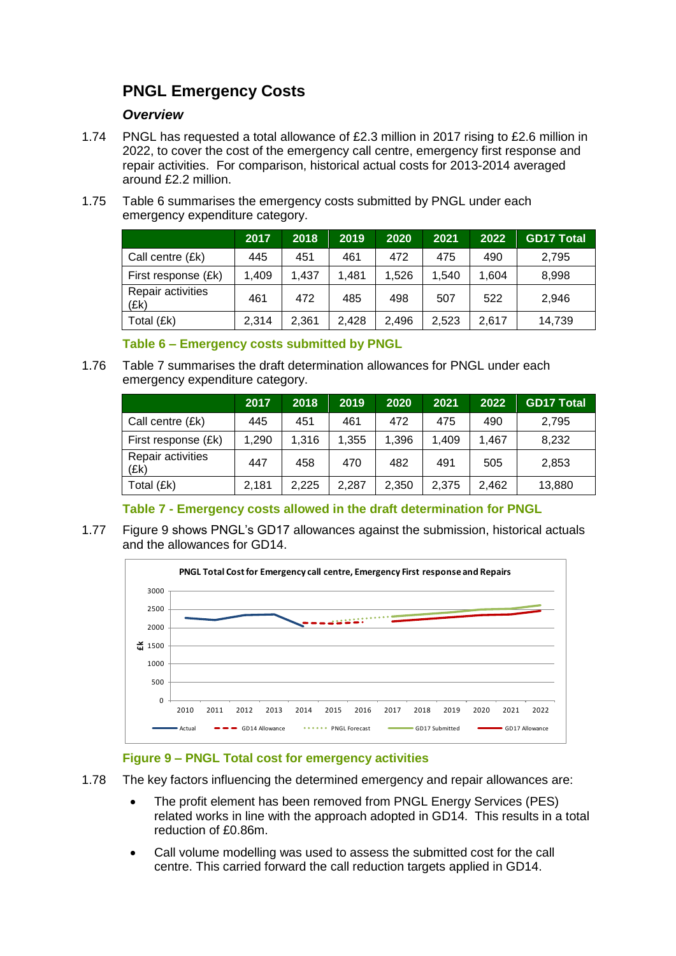# **PNGL Emergency Costs**

#### *Overview*

- 1.74 PNGL has requested a total allowance of £2.3 million in 2017 rising to £2.6 million in 2022, to cover the cost of the emergency call centre, emergency first response and repair activities. For comparison, historical actual costs for 2013-2014 averaged around £2.2 million.
- 1.75 [Table 6](#page-10-0) summarises the emergency costs submitted by PNGL under each emergency expenditure category.

|                           | 2017  | 2018  | 2019  | 2020  | 2021  | 2022  | <b>GD17 Total</b> |
|---------------------------|-------|-------|-------|-------|-------|-------|-------------------|
| Call centre (£k)          | 445   | 451   | 461   | 472   | 475   | 490   | 2,795             |
| First response (£k)       | 1,409 | 1,437 | 1.481 | 1,526 | 1.540 | 1.604 | 8,998             |
| Repair activities<br>(Ek) | 461   | 472   | 485   | 498   | 507   | 522   | 2,946             |
| Total (£k)                | 2.314 | 2,361 | 2.428 | 2.496 | 2,523 | 2,617 | 14,739            |

**Table 6 – Emergency costs submitted by PNGL**

<span id="page-10-0"></span>1.76 [Table 7](#page-10-1) summarises the draft determination allowances for PNGL under each emergency expenditure category.

|                           | 2017  | 2018  | 2019  | 2020  | 2021  | 2022  | <b>GD17 Total</b> |
|---------------------------|-------|-------|-------|-------|-------|-------|-------------------|
| Call centre (£k)          | 445   | 451   | 461   | 472   | 475   | 490   | 2.795             |
| First response (£k)       | 1.290 | 1.316 | 1,355 | 1,396 | 1.409 | 1.467 | 8,232             |
| Repair activities<br>(Ek) | 447   | 458   | 470   | 482   | 491   | 505   | 2,853             |
| Total (£k)                | 2,181 | 2,225 | 2,287 | 2,350 | 2,375 | 2,462 | 13,880            |

# **Table 7 - Emergency costs allowed in the draft determination for PNGL**

<span id="page-10-1"></span>1.77 [Figure 9](#page-10-2) shows PNGL's GD17 allowances against the submission, historical actuals and the allowances for GD14.



# **Figure 9 – PNGL Total cost for emergency activities**

- <span id="page-10-2"></span>1.78 The key factors influencing the determined emergency and repair allowances are:
	- The profit element has been removed from PNGL Energy Services (PES) related works in line with the approach adopted in GD14. This results in a total reduction of £0.86m.
	- Call volume modelling was used to assess the submitted cost for the call centre. This carried forward the call reduction targets applied in GD14.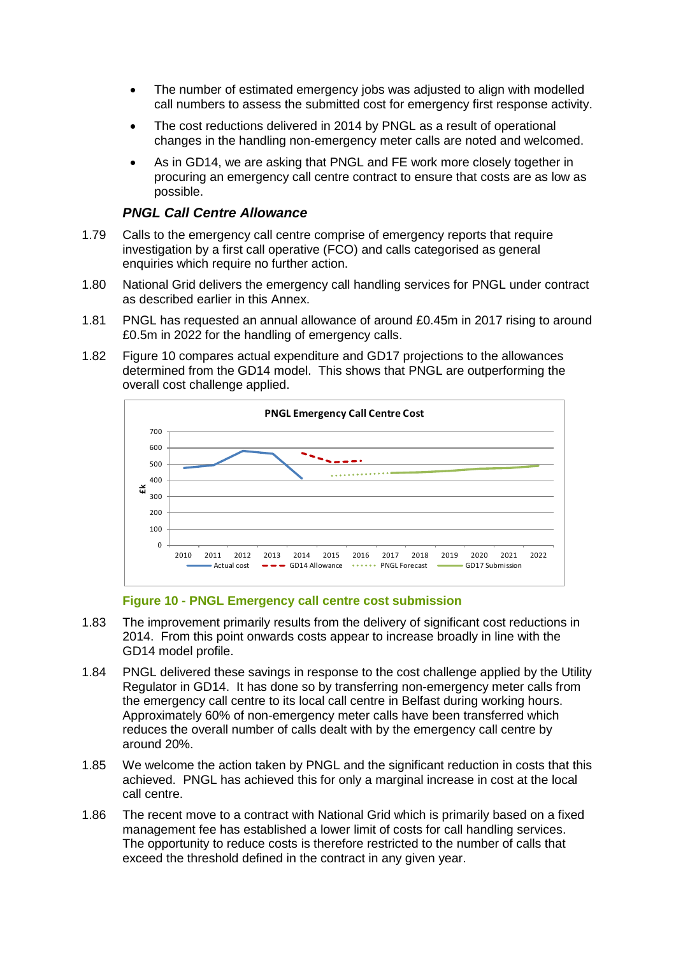- The number of estimated emergency jobs was adjusted to align with modelled call numbers to assess the submitted cost for emergency first response activity.
- The cost reductions delivered in 2014 by PNGL as a result of operational changes in the handling non-emergency meter calls are noted and welcomed.
- As in GD14, we are asking that PNGL and FE work more closely together in procuring an emergency call centre contract to ensure that costs are as low as possible.

#### *PNGL Call Centre Allowance*

- 1.79 Calls to the emergency call centre comprise of emergency reports that require investigation by a first call operative (FCO) and calls categorised as general enquiries which require no further action.
- 1.80 National Grid delivers the emergency call handling services for PNGL under contract as described earlier in this Annex.
- 1.81 PNGL has requested an annual allowance of around £0.45m in 2017 rising to around £0.5m in 2022 for the handling of emergency calls.
- 1.82 [Figure 10](#page-11-0) compares actual expenditure and GD17 projections to the allowances determined from the GD14 model. This shows that PNGL are outperforming the overall cost challenge applied.



#### **Figure 10 - PNGL Emergency call centre cost submission**

- <span id="page-11-0"></span>1.83 The improvement primarily results from the delivery of significant cost reductions in 2014. From this point onwards costs appear to increase broadly in line with the GD14 model profile.
- 1.84 PNGL delivered these savings in response to the cost challenge applied by the Utility Regulator in GD14. It has done so by transferring non-emergency meter calls from the emergency call centre to its local call centre in Belfast during working hours. Approximately 60% of non-emergency meter calls have been transferred which reduces the overall number of calls dealt with by the emergency call centre by around 20%.
- 1.85 We welcome the action taken by PNGL and the significant reduction in costs that this achieved. PNGL has achieved this for only a marginal increase in cost at the local call centre.
- 1.86 The recent move to a contract with National Grid which is primarily based on a fixed management fee has established a lower limit of costs for call handling services. The opportunity to reduce costs is therefore restricted to the number of calls that exceed the threshold defined in the contract in any given year.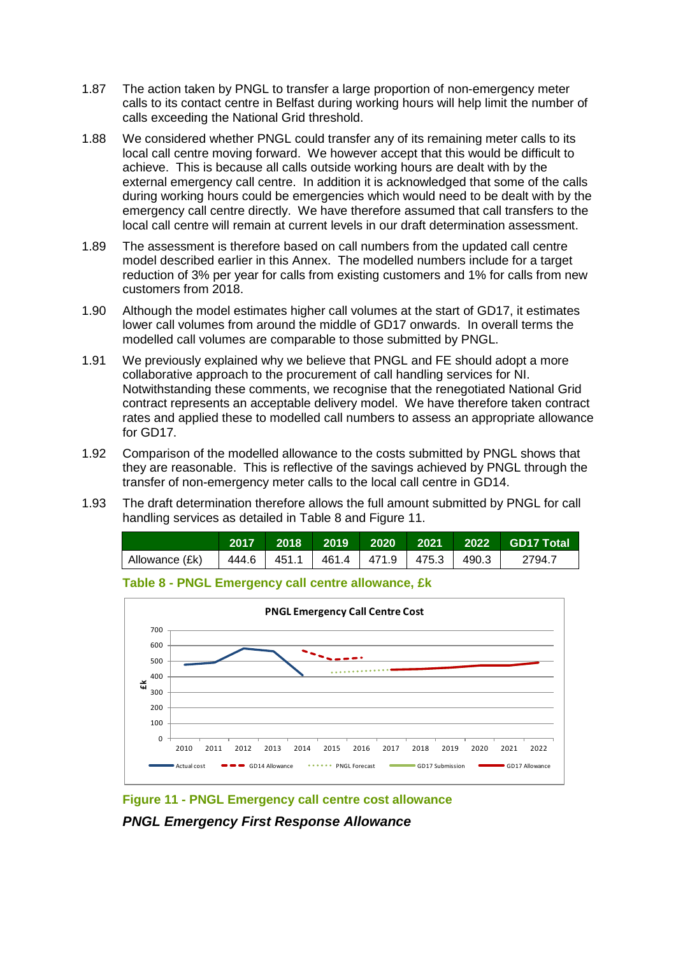- 1.87 The action taken by PNGL to transfer a large proportion of non-emergency meter calls to its contact centre in Belfast during working hours will help limit the number of calls exceeding the National Grid threshold.
- 1.88 We considered whether PNGL could transfer any of its remaining meter calls to its local call centre moving forward. We however accept that this would be difficult to achieve. This is because all calls outside working hours are dealt with by the external emergency call centre. In addition it is acknowledged that some of the calls during working hours could be emergencies which would need to be dealt with by the emergency call centre directly. We have therefore assumed that call transfers to the local call centre will remain at current levels in our draft determination assessment.
- 1.89 The assessment is therefore based on call numbers from the updated call centre model described earlier in this Annex. The modelled numbers include for a target reduction of 3% per year for calls from existing customers and 1% for calls from new customers from 2018.
- 1.90 Although the model estimates higher call volumes at the start of GD17, it estimates lower call volumes from around the middle of GD17 onwards. In overall terms the modelled call volumes are comparable to those submitted by PNGL.
- 1.91 We previously explained why we believe that PNGL and FE should adopt a more collaborative approach to the procurement of call handling services for NI. Notwithstanding these comments, we recognise that the renegotiated National Grid contract represents an acceptable delivery model. We have therefore taken contract rates and applied these to modelled call numbers to assess an appropriate allowance for GD17.
- 1.92 Comparison of the modelled allowance to the costs submitted by PNGL shows that they are reasonable. This is reflective of the savings achieved by PNGL through the transfer of non-emergency meter calls to the local call centre in GD14.
- 1.93 The draft determination therefore allows the full amount submitted by PNGL for call handling services as detailed in [Table 8](#page-12-0) and [Figure 11.](#page-12-1)



<span id="page-12-0"></span>



<span id="page-12-1"></span>**Figure 11 - PNGL Emergency call centre cost allowance**

*PNGL Emergency First Response Allowance*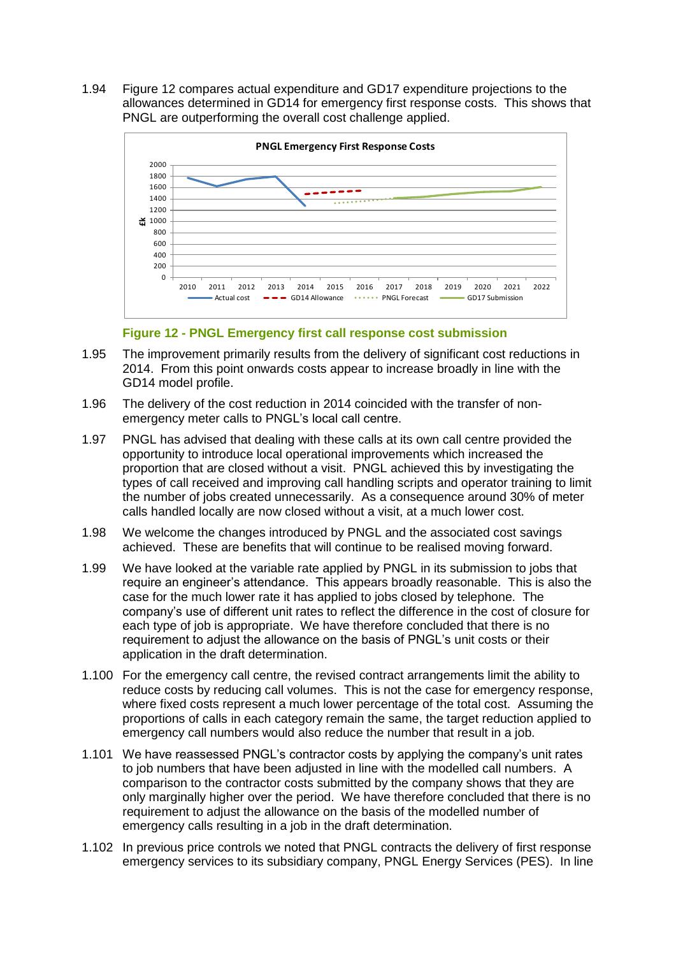1.94 [Figure 12](#page-13-0) compares actual expenditure and GD17 expenditure projections to the allowances determined in GD14 for emergency first response costs. This shows that PNGL are outperforming the overall cost challenge applied.



**Figure 12 - PNGL Emergency first call response cost submission**

- <span id="page-13-0"></span>1.95 The improvement primarily results from the delivery of significant cost reductions in 2014. From this point onwards costs appear to increase broadly in line with the GD14 model profile.
- 1.96 The delivery of the cost reduction in 2014 coincided with the transfer of nonemergency meter calls to PNGL's local call centre.
- 1.97 PNGL has advised that dealing with these calls at its own call centre provided the opportunity to introduce local operational improvements which increased the proportion that are closed without a visit. PNGL achieved this by investigating the types of call received and improving call handling scripts and operator training to limit the number of jobs created unnecessarily. As a consequence around 30% of meter calls handled locally are now closed without a visit, at a much lower cost.
- 1.98 We welcome the changes introduced by PNGL and the associated cost savings achieved. These are benefits that will continue to be realised moving forward.
- 1.99 We have looked at the variable rate applied by PNGL in its submission to jobs that require an engineer's attendance. This appears broadly reasonable. This is also the case for the much lower rate it has applied to jobs closed by telephone. The company's use of different unit rates to reflect the difference in the cost of closure for each type of job is appropriate. We have therefore concluded that there is no requirement to adjust the allowance on the basis of PNGL's unit costs or their application in the draft determination.
- 1.100 For the emergency call centre, the revised contract arrangements limit the ability to reduce costs by reducing call volumes. This is not the case for emergency response, where fixed costs represent a much lower percentage of the total cost. Assuming the proportions of calls in each category remain the same, the target reduction applied to emergency call numbers would also reduce the number that result in a job.
- 1.101 We have reassessed PNGL's contractor costs by applying the company's unit rates to job numbers that have been adjusted in line with the modelled call numbers. A comparison to the contractor costs submitted by the company shows that they are only marginally higher over the period. We have therefore concluded that there is no requirement to adjust the allowance on the basis of the modelled number of emergency calls resulting in a job in the draft determination.
- 1.102 In previous price controls we noted that PNGL contracts the delivery of first response emergency services to its subsidiary company, PNGL Energy Services (PES). In line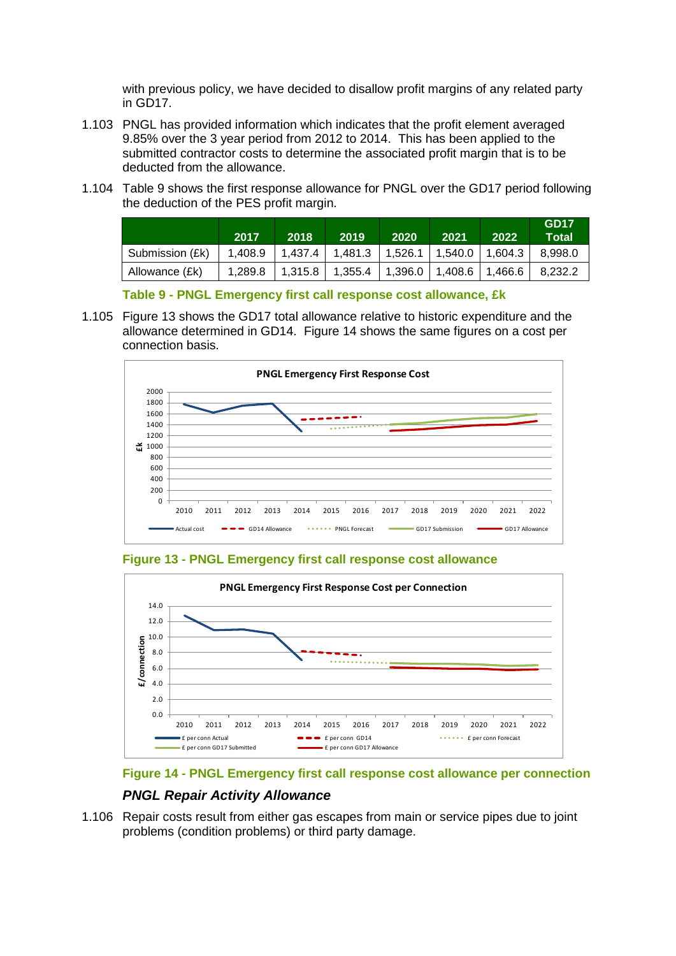with previous policy, we have decided to disallow profit margins of any related party in GD17.

- 1.103 PNGL has provided information which indicates that the profit element averaged 9.85% over the 3 year period from 2012 to 2014. This has been applied to the submitted contractor costs to determine the associated profit margin that is to be deducted from the allowance.
- 1.104 [Table 9](#page-14-0) shows the first response allowance for PNGL over the GD17 period following the deduction of the PES profit margin.

|                 | 2017    | 2018      | 2019                                  | 2020                          | 2021 | 2022 | GD <sub>17</sub><br>Total |
|-----------------|---------|-----------|---------------------------------------|-------------------------------|------|------|---------------------------|
| Submission (£k) | 1.408.9 | 1.437.4 L | 1,481.3   1,526.1   1,540.0   1,604.3 |                               |      |      | 8.998.0                   |
| Allowance (£k)  | 1.289.8 | 1.315.8   | 1,355.4                               | $1,396.0$   1,408.6   1,466.6 |      |      | 8.232.2                   |

**Table 9 - PNGL Emergency first call response cost allowance, £k**

<span id="page-14-0"></span>1.105 [Figure 13](#page-14-1) shows the GD17 total allowance relative to historic expenditure and the allowance determined in GD14. [Figure 14](#page-14-2) shows the same figures on a cost per connection basis.



<span id="page-14-1"></span>**Figure 13 - PNGL Emergency first call response cost allowance**



<span id="page-14-2"></span>

# *PNGL Repair Activity Allowance*

1.106 Repair costs result from either gas escapes from main or service pipes due to joint problems (condition problems) or third party damage.